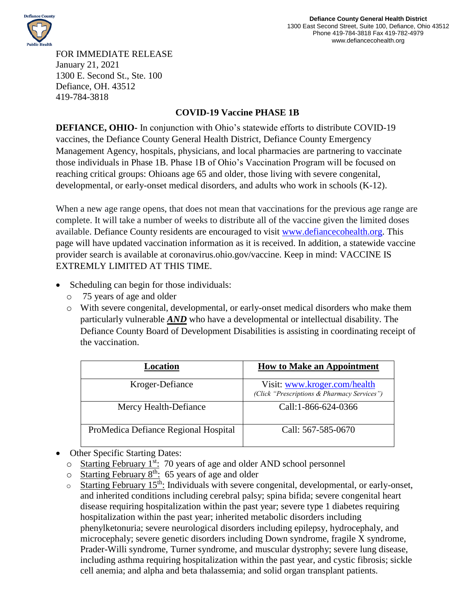

FOR IMMEDIATE RELEASE January 21, 2021 1300 E. Second St., Ste. 100 Defiance, OH. 43512 419-784-3818

## **COVID-19 Vaccine PHASE 1B**

**DEFIANCE, OHIO-** In conjunction with Ohio's statewide efforts to distribute COVID-19 vaccines, the Defiance County General Health District, Defiance County Emergency Management Agency, hospitals, physicians, and local pharmacies are partnering to vaccinate those individuals in Phase 1B. Phase 1B of Ohio's Vaccination Program will be focused on reaching critical groups: Ohioans age 65 and older, those living with severe congenital, developmental, or early-onset medical disorders, and adults who work in schools (K-12).

When a new age range opens, that does not mean that vaccinations for the previous age range are complete. It will take a number of weeks to distribute all of the vaccine given the limited doses available. Defiance County residents are encouraged to visit [www.defiancecohealth.org.](http://www.defiancecohealth.org/) This page will have updated vaccination information as it is received. In addition, a statewide vaccine provider search is available at coronavirus.ohio.gov/vaccine. Keep in mind: VACCINE IS EXTREMLY LIMITED AT THIS TIME.

- Scheduling can begin for those individuals:
	- o 75 years of age and older
	- o With severe congenital, developmental, or early-onset medical disorders who make them particularly vulnerable *AND* who have a developmental or intellectual disability. The Defiance County Board of Development Disabilities is assisting in coordinating receipt of the vaccination.

| Location                             | <b>How to Make an Appointment</b>                                           |
|--------------------------------------|-----------------------------------------------------------------------------|
| Kroger-Defiance                      | Visit: www.kroger.com/health<br>(Click "Prescriptions & Pharmacy Services") |
| Mercy Health-Defiance                | Call:1-866-624-0366                                                         |
| ProMedica Defiance Regional Hospital | Call: 567-585-0670                                                          |

- Other Specific Starting Dates:
	- $\circ$  Starting February 1<sup>st</sup>: 70 years of age and older AND school personnel
	- $\circ$  Starting February 8<sup>th</sup>: 65 years of age and older
	- $\circ$  Starting February 15<sup>th</sup>: Individuals with severe congenital, developmental, or early-onset, and inherited conditions including cerebral palsy; spina bifida; severe congenital heart disease requiring hospitalization within the past year; severe type 1 diabetes requiring hospitalization within the past year; inherited metabolic disorders including phenylketonuria; severe neurological disorders including epilepsy, hydrocephaly, and microcephaly; severe genetic disorders including Down syndrome, fragile X syndrome, Prader-Willi syndrome, Turner syndrome, and muscular dystrophy; severe lung disease, including asthma requiring hospitalization within the past year, and cystic fibrosis; sickle cell anemia; and alpha and beta thalassemia; and solid organ transplant patients.